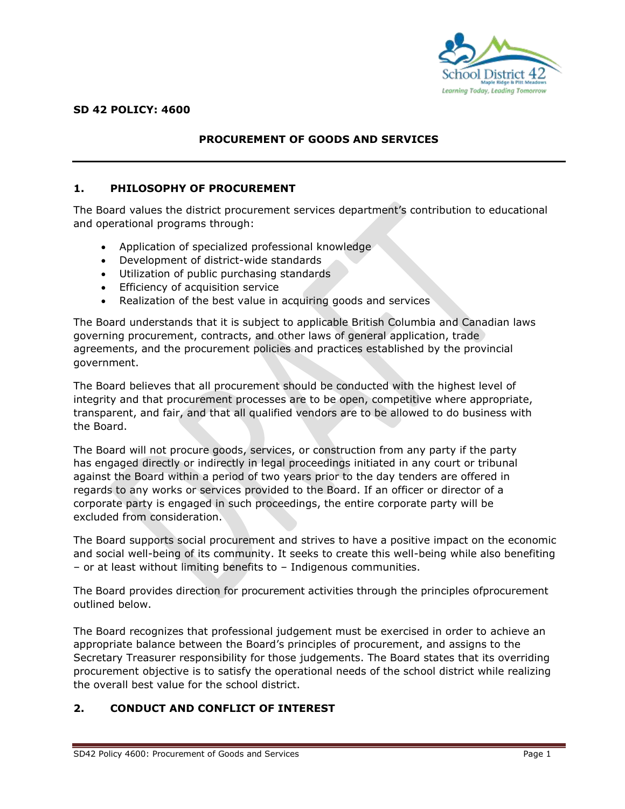

## **PROCUREMENT OF GOODS AND SERVICES**

#### **1. PHILOSOPHY OF PROCUREMENT**

The Board values the district procurement services department's contribution to educational and operational programs through:

- Application of specialized professional knowledge
- Development of district-wide standards
- Utilization of public purchasing standards
- Efficiency of acquisition service
- Realization of the best value in acquiring goods and services

The Board understands that it is subject to applicable British Columbia and Canadian laws governing procurement, contracts, and other laws of general application, trade agreements, and the procurement policies and practices established by the provincial government.

The Board believes that all procurement should be conducted with the highest level of integrity and that procurement processes are to be open, competitive where appropriate, transparent, and fair, and that all qualified vendors are to be allowed to do business with the Board.

The Board will not procure goods, services, or construction from any party if the party has engaged directly or indirectly in legal proceedings initiated in any court or tribunal against the Board within a period of two years prior to the day tenders are offered in regards to any works or services provided to the Board. If an officer or director of a corporate party is engaged in such proceedings, the entire corporate party will be excluded from consideration.

The Board supports social procurement and strives to have a positive impact on the economic and social well-being of its community. It seeks to create this well-being while also benefiting – or at least without limiting benefits to – Indigenous communities.

The Board provides direction for procurement activities through the principles ofprocurement outlined below.

The Board recognizes that professional judgement must be exercised in order to achieve an appropriate balance between the Board's principles of procurement, and assigns to the Secretary Treasurer responsibility for those judgements. The Board states that its overriding procurement objective is to satisfy the operational needs of the school district while realizing the overall best value for the school district.

### **2. CONDUCT AND CONFLICT OF INTEREST**